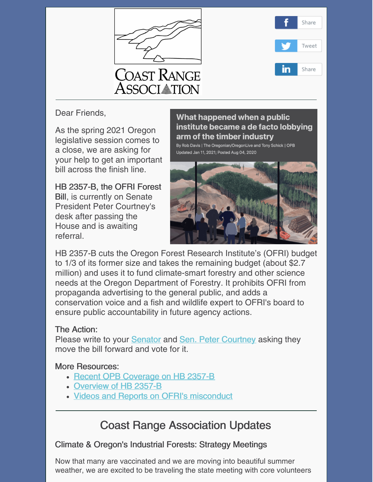



Dear Friends,

As the spring 2021 Oregon legislative session comes to a close, we are asking for your help to get an important bill across the finish line.

HB 2357-B, the OFRI Forest Bill, is currently on Senate President Peter Courtney's desk after passing the House and is awaiting referral.

What happened when a public institute became a de facto lobbying arm of the timber industry

By Rob Davis | The Oregonian/OregonLive and Tony Schick | OPB Updated Jan 11, 2021; Posted Aug 04, 2020



HB 2357-B cuts the Oregon Forest Research Institute's (OFRI) budget to 1/3 of its former size and takes the remaining budget (about \$2.7 million) and uses it to fund climate-smart forestry and other science needs at the Oregon Department of Forestry. It prohibits OFRI from propaganda advertising to the general public, and adds a conservation voice and a fish and wildlife expert to OFRI's board to ensure public accountability in future agency actions.

#### The Action:

Please write to your **[Senator](https://www.oregonlegislature.gov/findyourlegislator/leg-districts.html?emci=4444fb35-32cb-eb11-a7ad-501ac57b8fa7&emdi=ea000000-0000-0000-0000-000000000001&ceid=1474888)** and **Sen. Peter [Courtney](mailto:Sen.PeterCourtney@OregonLegislature.gov)** asking they move the bill forward and vote for it.

#### More Resources:

- Recent OPB [Coverage](https://www.opb.org/article/2021/06/08/after-investigation-oregon-house-moves-to-curb-forest-institute-power-and-budget/) on HB 2357-B
- [Overview](https://olis.oregonlegislature.gov/liz/2021R1/Measures/Overview/HB2357) of HB 2357-B
- Videos and Reports on OFRI's [misconduct](https://clearcuttruth.greenoregon.org)

# Coast Range Association Updates

### Climate & Oregon's Industrial Forests: Strategy Meetings

Now that many are vaccinated and we are moving into beautiful summer weather, we are excited to be traveling the state meeting with core volunteers